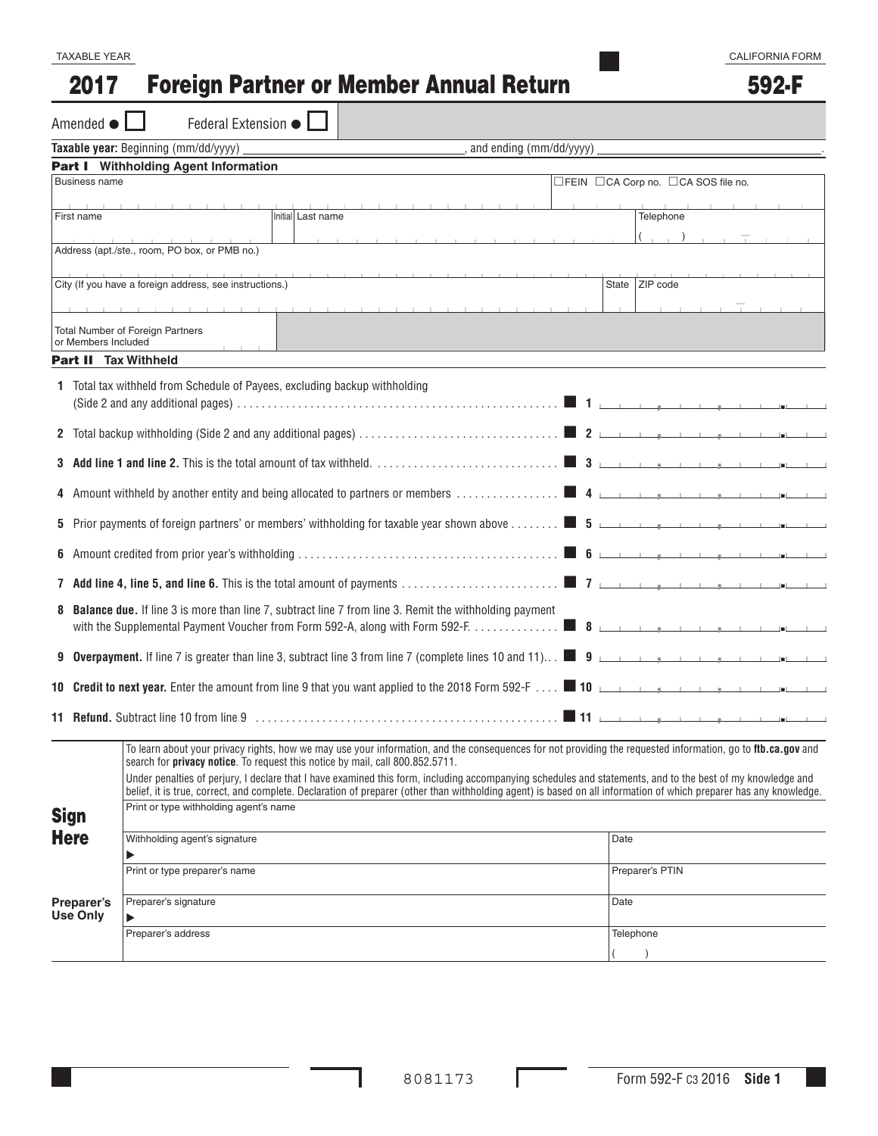#### Foreign Partner or Member Annual Return 2017

592-F

|                                      | Amended $\bullet$   | Federal Extension $\bullet$                                                                                                                                                                                                                                                                                                                                                                                                                                                                                                                                                                                                        |  |   |  |                                     |  |      |                 |  |  |  |  |
|--------------------------------------|---------------------|------------------------------------------------------------------------------------------------------------------------------------------------------------------------------------------------------------------------------------------------------------------------------------------------------------------------------------------------------------------------------------------------------------------------------------------------------------------------------------------------------------------------------------------------------------------------------------------------------------------------------------|--|---|--|-------------------------------------|--|------|-----------------|--|--|--|--|
| Taxable year: Beginning (mm/dd/yyyy) |                     |                                                                                                                                                                                                                                                                                                                                                                                                                                                                                                                                                                                                                                    |  |   |  | and ending (mm/dd/yyyy)             |  |      |                 |  |  |  |  |
|                                      |                     | Part I Withholding Agent Information                                                                                                                                                                                                                                                                                                                                                                                                                                                                                                                                                                                               |  |   |  |                                     |  |      |                 |  |  |  |  |
| <b>Business name</b>                 |                     |                                                                                                                                                                                                                                                                                                                                                                                                                                                                                                                                                                                                                                    |  |   |  | □FEIN □CA Corp no. □CA SOS file no. |  |      |                 |  |  |  |  |
| Initial Last name<br>First name      |                     |                                                                                                                                                                                                                                                                                                                                                                                                                                                                                                                                                                                                                                    |  |   |  | Telephone                           |  |      |                 |  |  |  |  |
|                                      |                     |                                                                                                                                                                                                                                                                                                                                                                                                                                                                                                                                                                                                                                    |  |   |  |                                     |  |      |                 |  |  |  |  |
|                                      |                     | Address (apt./ste., room, PO box, or PMB no.)                                                                                                                                                                                                                                                                                                                                                                                                                                                                                                                                                                                      |  |   |  |                                     |  |      |                 |  |  |  |  |
|                                      |                     | City (If you have a foreign address, see instructions.)                                                                                                                                                                                                                                                                                                                                                                                                                                                                                                                                                                            |  |   |  |                                     |  |      | State ZIP code  |  |  |  |  |
|                                      | or Members Included | <b>Total Number of Foreign Partners</b>                                                                                                                                                                                                                                                                                                                                                                                                                                                                                                                                                                                            |  | . |  |                                     |  |      |                 |  |  |  |  |
|                                      |                     | <b>Part II</b> Tax Withheld                                                                                                                                                                                                                                                                                                                                                                                                                                                                                                                                                                                                        |  |   |  |                                     |  |      |                 |  |  |  |  |
|                                      |                     | 1 Total tax withheld from Schedule of Payees, excluding backup withholding                                                                                                                                                                                                                                                                                                                                                                                                                                                                                                                                                         |  |   |  |                                     |  |      |                 |  |  |  |  |
|                                      |                     |                                                                                                                                                                                                                                                                                                                                                                                                                                                                                                                                                                                                                                    |  |   |  |                                     |  |      |                 |  |  |  |  |
|                                      |                     |                                                                                                                                                                                                                                                                                                                                                                                                                                                                                                                                                                                                                                    |  |   |  |                                     |  |      |                 |  |  |  |  |
|                                      |                     |                                                                                                                                                                                                                                                                                                                                                                                                                                                                                                                                                                                                                                    |  |   |  |                                     |  |      |                 |  |  |  |  |
|                                      |                     | 5 Prior payments of foreign partners' or members' withholding for taxable year shown above  5 5                                                                                                                                                                                                                                                                                                                                                                                                                                                                                                                                    |  |   |  |                                     |  |      |                 |  |  |  |  |
|                                      |                     |                                                                                                                                                                                                                                                                                                                                                                                                                                                                                                                                                                                                                                    |  |   |  |                                     |  |      |                 |  |  |  |  |
|                                      |                     |                                                                                                                                                                                                                                                                                                                                                                                                                                                                                                                                                                                                                                    |  |   |  |                                     |  |      |                 |  |  |  |  |
|                                      |                     | <b>8 Balance due.</b> If line 3 is more than line 7, subtract line 7 from line 3. Remit the withholding payment                                                                                                                                                                                                                                                                                                                                                                                                                                                                                                                    |  |   |  |                                     |  |      |                 |  |  |  |  |
|                                      |                     | 9 Overpayment. If line 7 is greater than line 3, subtract line 3 from line 7 (complete lines 10 and 11) 9 <b>9</b>                                                                                                                                                                                                                                                                                                                                                                                                                                                                                                                 |  |   |  |                                     |  |      |                 |  |  |  |  |
|                                      |                     | 10 <b>Credit to next year.</b> Enter the amount from line 9 that you want applied to the 2018 Form 592-F 1 10 <b>Credit to next year.</b> Enter the amount from line 9 that you want applied to the 2018 Form 592-F 1 10                                                                                                                                                                                                                                                                                                                                                                                                           |  |   |  |                                     |  |      |                 |  |  |  |  |
|                                      |                     |                                                                                                                                                                                                                                                                                                                                                                                                                                                                                                                                                                                                                                    |  |   |  |                                     |  |      |                 |  |  |  |  |
| <b>Sign</b>                          |                     | To learn about your privacy rights, how we may use your information, and the consequences for not providing the requested information, go to ftb.ca.gov and<br>search for <b>privacy notice</b> . To request this notice by mail, call 800.852.5711.<br>Under penalties of perjury, I declare that I have examined this form, including accompanying schedules and statements, and to the best of my knowledge and<br>belief, it is true, correct, and complete. Declaration of preparer (other than withholding agent) is based on all information of which preparer has any knowledge.<br>Print or type withholding agent's name |  |   |  |                                     |  |      |                 |  |  |  |  |
| <b>Here</b>                          |                     | Withholding agent's signature                                                                                                                                                                                                                                                                                                                                                                                                                                                                                                                                                                                                      |  |   |  |                                     |  | Date |                 |  |  |  |  |
|                                      |                     | Print or type preparer's name                                                                                                                                                                                                                                                                                                                                                                                                                                                                                                                                                                                                      |  |   |  |                                     |  |      | Preparer's PTIN |  |  |  |  |
| Preparer's<br>Use Only               |                     | Preparer's signature                                                                                                                                                                                                                                                                                                                                                                                                                                                                                                                                                                                                               |  |   |  |                                     |  |      | Date            |  |  |  |  |
|                                      |                     | Preparer's address                                                                                                                                                                                                                                                                                                                                                                                                                                                                                                                                                                                                                 |  |   |  |                                     |  |      | Telephone       |  |  |  |  |

ı

Г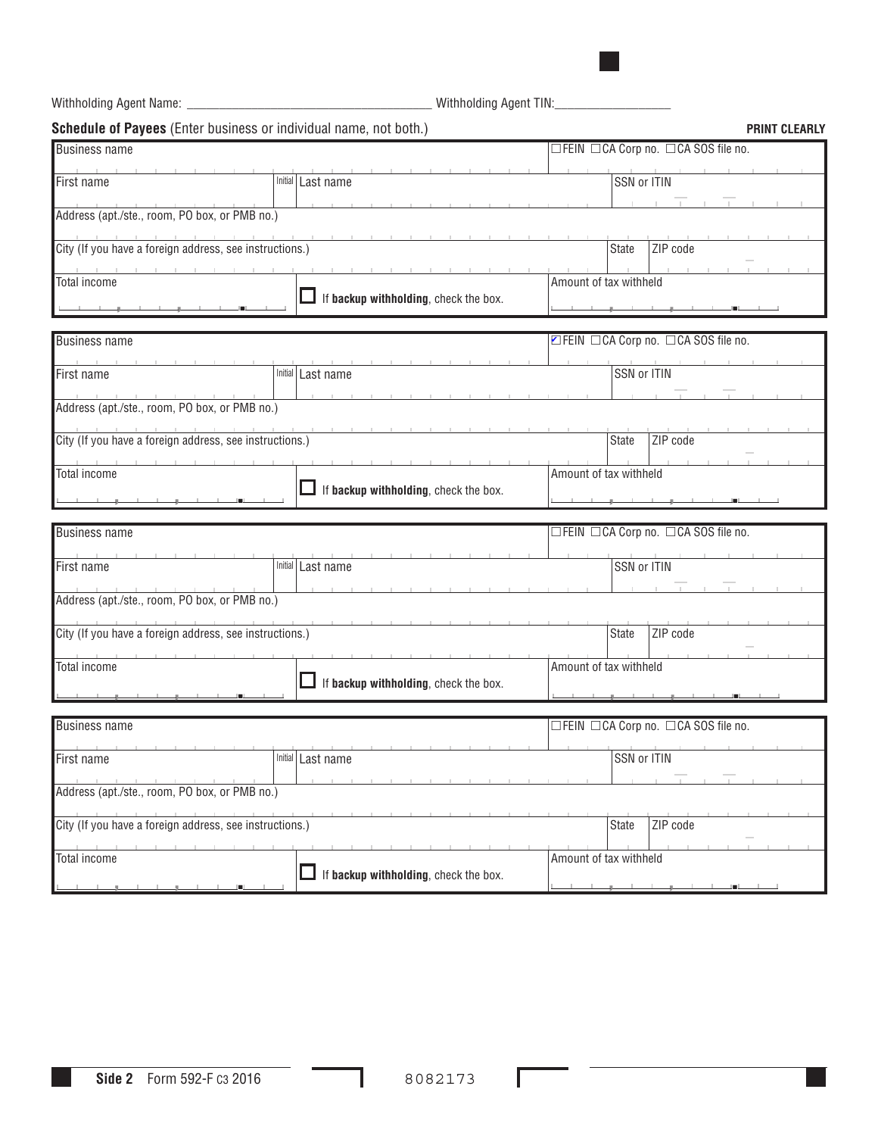, , . Withholding Agent Name: \_\_\_\_\_\_\_\_\_\_\_\_\_\_\_\_\_\_\_\_\_\_\_\_\_\_\_\_\_\_\_\_\_\_\_\_\_\_ Withholding Agent TIN:\_\_\_\_\_\_\_\_\_\_\_\_\_\_\_\_\_\_ **Schedule of Payees** (Enter business or individual name, not both.) **PRINT CLEARLY PRINT CLEARLY** Business name FEIN CA Corp no. CA SOS file no. First name SSN or ITIN Address (apt./ste., room, PO box, or PMB no.) City (If you have a foreign address, see instructions.) State 2IP code Total income  $\Box$  If **backup withholding**, check the box. Amount of tax withheld Business name metals and the second second terms of the second terms of the second terms of the second terms of  $\Box$  FEIN  $\Box$  CA Corp no.  $\Box$  CA SOS file no. First name SSN or ITIN Address (apt./ste., room, PO box, or PMB no.) City (If you have a foreign address, see instructions.) State 2IP code Total income **m** If **backup withholding**, check the box. Amount of tax withheld Business name metals and the metals of the metals of the metals of the metals of the metals of the metals of the metals of the metals of the metals of the metals of the metals of the metals of the metals of the metals of First name SSN or ITIN Address (apt./ste., room, PO box, or PMB no.) City (If you have a foreign address, see instructions.) State 2IP code Total income **The If backup withholding**, check the box. Amount of tax withheld Business name metals and the metals of the metals of the metals of the metals of the metals of the metals of the metals of the metals of the metals of the metals of the metals of the metals of the metals of the metals of t First name SSN or ITIN Address (apt./ste., room, PO box, or PMB no.) City (If you have a foreign address, see instructions.) State 2IP code Total income **The If backup withholding**, check the box. Amount of tax withheld .<br>پ<u>ه المساحات و با المساح</u> , , . , , . , , . , , . .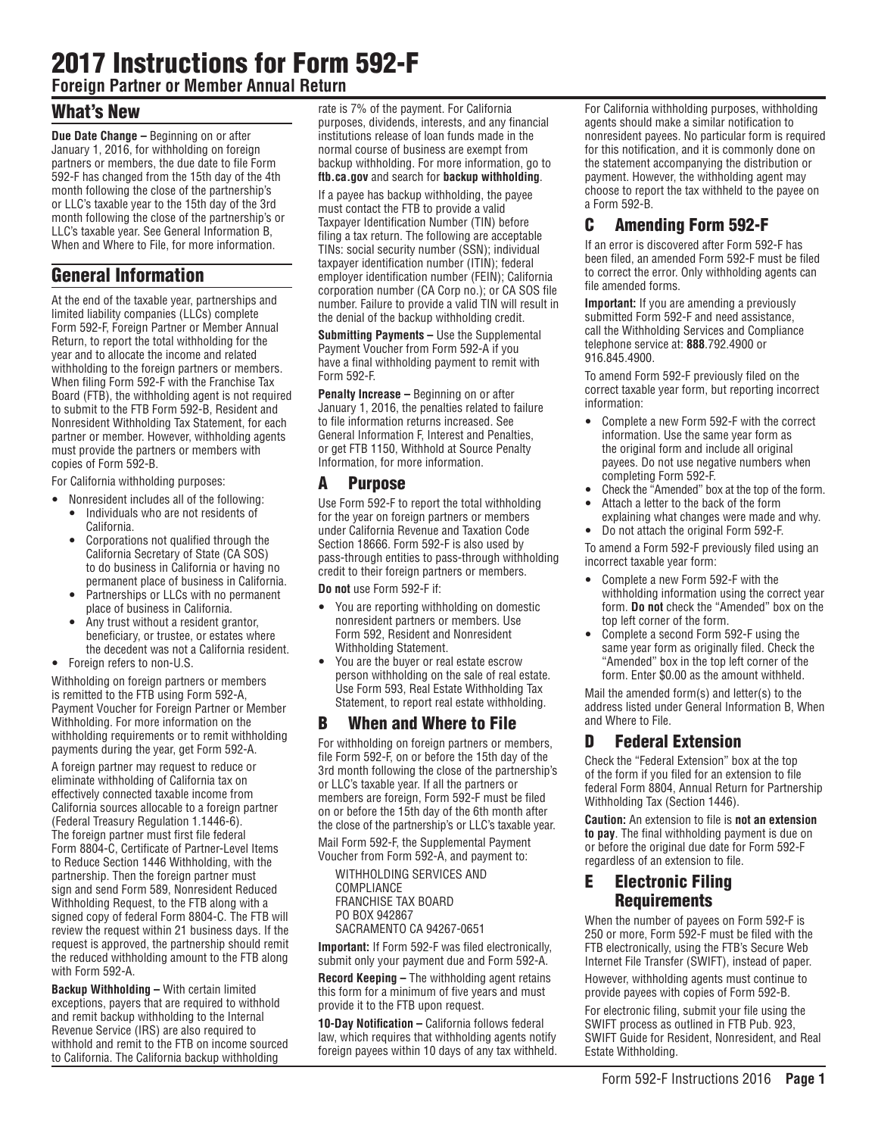# 2017 Instructions for Form 592-F

**Foreign Partner or Member Annual Return**

# What's New

**Due Date Change –** Beginning on or after January 1, 2016, for withholding on foreign partners or members, the due date to file Form 592-F has changed from the 15th day of the 4th month following the close of the partnership's or LLC's taxable year to the 15th day of the 3rd month following the close of the partnership's or LLC's taxable year. See General Information B, When and Where to File, for more information.

# General Information

At the end of the taxable year, partnerships and limited liability companies (LLCs) complete Form 592-F, Foreign Partner or Member Annual Return, to report the total withholding for the year and to allocate the income and related withholding to the foreign partners or members. When filing Form 592-F with the Franchise Tax Board (FTB), the withholding agent is not required to submit to the FTB Form 592-B, Resident and Nonresident Withholding Tax Statement, for each partner or member. However, withholding agents must provide the partners or members with copies of Form 592-B.

For California withholding purposes:

- Nonresident includes all of the following: Individuals who are not residents of California.
	- Corporations not qualified through the California Secretary of State (CA SOS) to do business in California or having no permanent place of business in California.
	- Partnerships or LLCs with no permanent place of business in California.
	- Any trust without a resident grantor, beneficiary, or trustee, or estates where the decedent was not a California resident.
- Foreign refers to non-U.S.

Withholding on foreign partners or members is remitted to the FTB using Form 592-A, Payment Voucher for Foreign Partner or Member Withholding. For more information on the withholding requirements or to remit withholding payments during the year, get Form 592-A.

A foreign partner may request to reduce or eliminate withholding of California tax on effectively connected taxable income from California sources allocable to a foreign partner (Federal Treasury Regulation 1.1446-6). The foreign partner must first file federal Form 8804-C, Certificate of Partner-Level Items to Reduce Section 1446 Withholding, with the partnership. Then the foreign partner must sign and send Form 589, Nonresident Reduced Withholding Request, to the FTB along with a signed copy of federal Form 8804-C. The FTB will review the request within 21 business days. If the request is approved, the partnership should remit the reduced withholding amount to the FTB along with Form 592-A.

**Backup Withholding –** With certain limited exceptions, payers that are required to withhold and remit backup withholding to the Internal Revenue Service (IRS) are also required to withhold and remit to the FTB on income sourced to California. The California backup withholding

rate is 7% of the payment. For California purposes, dividends, interests, and any financial institutions release of loan funds made in the normal course of business are exempt from backup withholding. For more information, go to **ftb.ca.gov** and search for **backup withholding**.

If a payee has backup withholding, the payee must contact the FTB to provide a valid Taxpayer Identification Number (TIN) before filing a tax return. The following are acceptable TINs: social security number (SSN); individual taxpayer identification number (ITIN); federal employer identification number (FEIN); California corporation number (CA Corp no.); or CA SOS file number. Failure to provide a valid TIN will result in the denial of the backup withholding credit.

**Submitting Payments –** Use the Supplemental Payment Voucher from Form 592-A if you have a final withholding payment to remit with Form 592-F.

**Penalty Increase –** Beginning on or after January 1, 2016, the penalties related to failure to file information returns increased. See General Information F, Interest and Penalties, or get FTB 1150, Withhold at Source Penalty Information, for more information.

#### A Purpose

Use Form 592-F to report the total withholding for the year on foreign partners or members under California Revenue and Taxation Code Section 18666. Form 592-F is also used by pass-through entities to pass-through withholding credit to their foreign partners or members.

**Do not** use Form 592-F if:

- You are reporting withholding on domestic nonresident partners or members. Use Form 592, Resident and Nonresident Withholding Statement.
- You are the buyer or real estate escrow person withholding on the sale of real estate. Use Form 593, Real Estate Withholding Tax Statement, to report real estate withholding.

### B When and Where to File

For withholding on foreign partners or members, file Form 592-F, on or before the 15th day of the 3rd month following the close of the partnership's or LLC's taxable year. If all the partners or members are foreign, Form 592-F must be filed on or before the 15th day of the 6th month after the close of the partnership's or LLC's taxable year.

Mail Form 592-F, the Supplemental Payment Voucher from Form 592-A, and payment to:

WITHHOLDING SERVICES AND COMPLIANCE FRANCHISE TAX BOARD PO BOX 942867 SACRAMENTO CA 94267-0651

**Important:** If Form 592-F was filed electronically, submit only your payment due and Form 592-A.

**Record Keeping –** The withholding agent retains this form for a minimum of five years and must provide it to the FTB upon request.

**10-Day Notification –** California follows federal law, which requires that withholding agents notify foreign payees within 10 days of any tax withheld. For California withholding purposes, withholding agents should make a similar notification to nonresident payees. No particular form is required for this notification, and it is commonly done on the statement accompanying the distribution or payment. However, the withholding agent may choose to report the tax withheld to the payee on a Form 592-B.

# C Amending Form 592-F

If an error is discovered after Form 592-F has been filed, an amended Form 592-F must be filed to correct the error. Only withholding agents can file amended forms.

**Important:** If you are amending a previously submitted Form 592-F and need assistance, call the Withholding Services and Compliance telephone service at: **888**.792.4900 or 916.845.4900.

To amend Form 592-F previously filed on the correct taxable year form, but reporting incorrect information:

- Complete a new Form 592-F with the correct information. Use the same year form as the original form and include all original payees. Do not use negative numbers when completing Form 592-F.
- Check the "Amended" box at the top of the form.
- Attach a letter to the back of the form explaining what changes were made and why.
- Do not attach the original Form 592-F.

To amend a Form 592-F previously filed using an incorrect taxable year form:

- Complete a new Form 592-F with the withholding information using the correct year form. **Do not** check the "Amended" box on the top left corner of the form.
- Complete a second Form 592-F using the same year form as originally filed. Check the "Amended" box in the top left corner of the form. Enter \$0.00 as the amount withheld.

Mail the amended form(s) and letter(s) to the address listed under General Information B, When and Where to File.

#### D Federal Extension

Check the "Federal Extension" box at the top of the form if you filed for an extension to file federal Form 8804, Annual Return for Partnership Withholding Tax (Section 1446).

**Caution:** An extension to file is **not an extension to pay**. The final withholding payment is due on or before the original due date for Form 592-F regardless of an extension to file.

#### E Electronic Filing **Requirements**

When the number of payees on Form 592-F is 250 or more, Form 592-F must be filed with the FTB electronically, using the FTB's Secure Web Internet File Transfer (SWIFT), instead of paper.

However, withholding agents must continue to provide payees with copies of Form 592-B.

For electronic filing, submit your file using the SWIFT process as outlined in FTB Pub. 923, SWIFT Guide for Resident, Nonresident, and Real Estate Withholding.